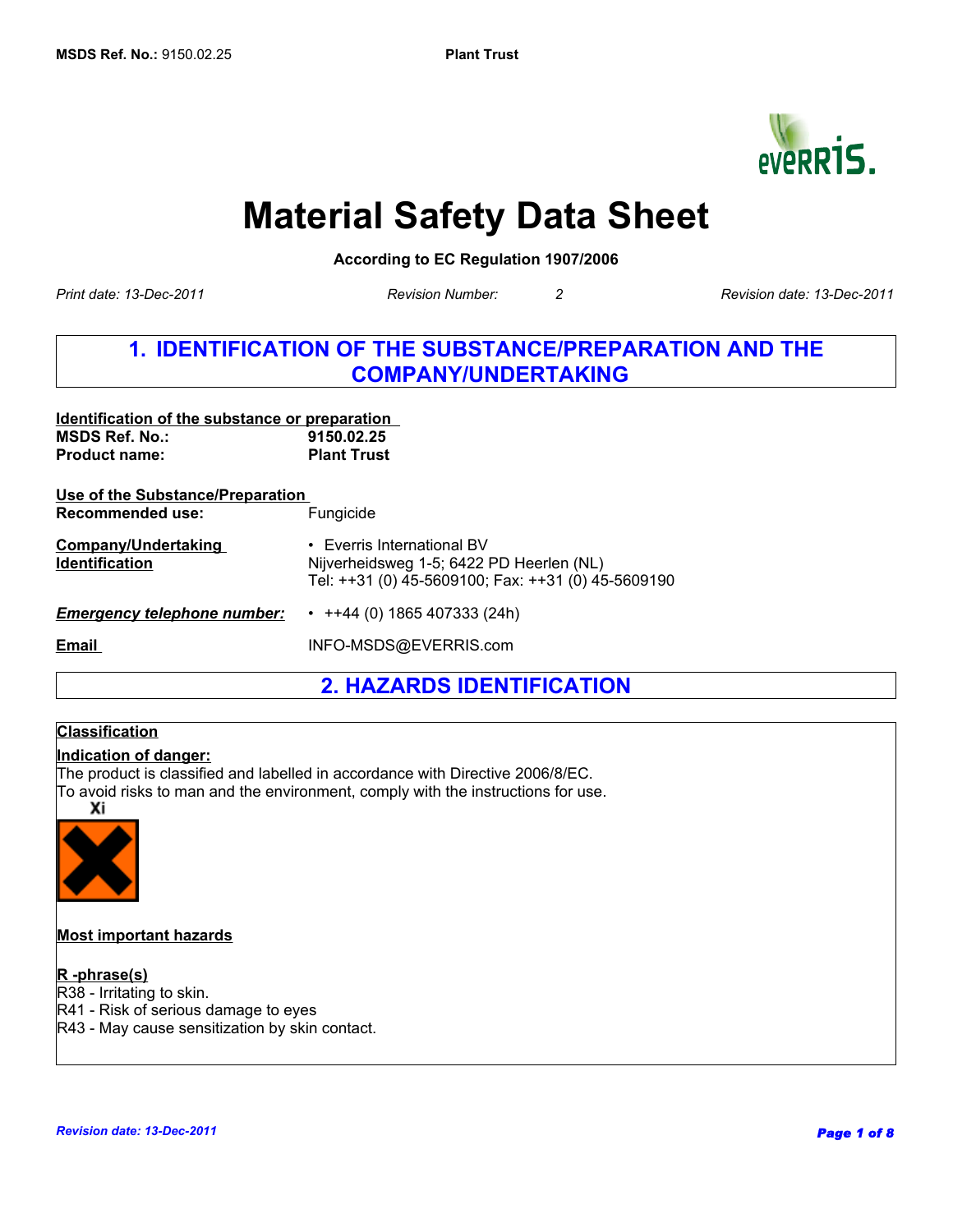

# **Material Safety Data Sheet**

**According to EC Regulation 1907/2006** 

*Print date: 13-Dec-2011*

*Revision Number: 2 Revision date: 13-Dec-2011*

## **1. IDENTIFICATION OF THE SUBSTANCE/PREPARATION AND THE COMPANY/UNDERTAKING**

| Identification of the substance or preparation<br><b>MSDS Ref. No.:</b><br><b>Product name:</b> | 9150.02.25<br><b>Plant Trust</b>                                                                                             |
|-------------------------------------------------------------------------------------------------|------------------------------------------------------------------------------------------------------------------------------|
| Use of the Substance/Preparation<br>Recommended use:                                            | Fungicide                                                                                                                    |
| <b>Company/Undertaking</b><br><b>Identification</b>                                             | • Everris International BV<br>Nijverheidsweg 1-5; 6422 PD Heerlen (NL)<br>Tel: ++31 (0) 45-5609100; Fax: ++31 (0) 45-5609190 |
| <b>Emergency telephone number:</b>                                                              | $\cdot$ ++44 (0) 1865 407333 (24h)                                                                                           |
| Email                                                                                           | INFO-MSDS@EVERRIS.com                                                                                                        |

**2. HAZARDS IDENTIFICATION**

## **Classification**

## **Indication of danger:**

The product is classified and labelled in accordance with Directive 2006/8/EC. To avoid risks to man and the environment, comply with the instructions for use.



## **Most important hazards**

**R -phrase(s)**

R38 - Irritating to skin.

R41 - Risk of serious damage to eyes

R43 - May cause sensitization by skin contact.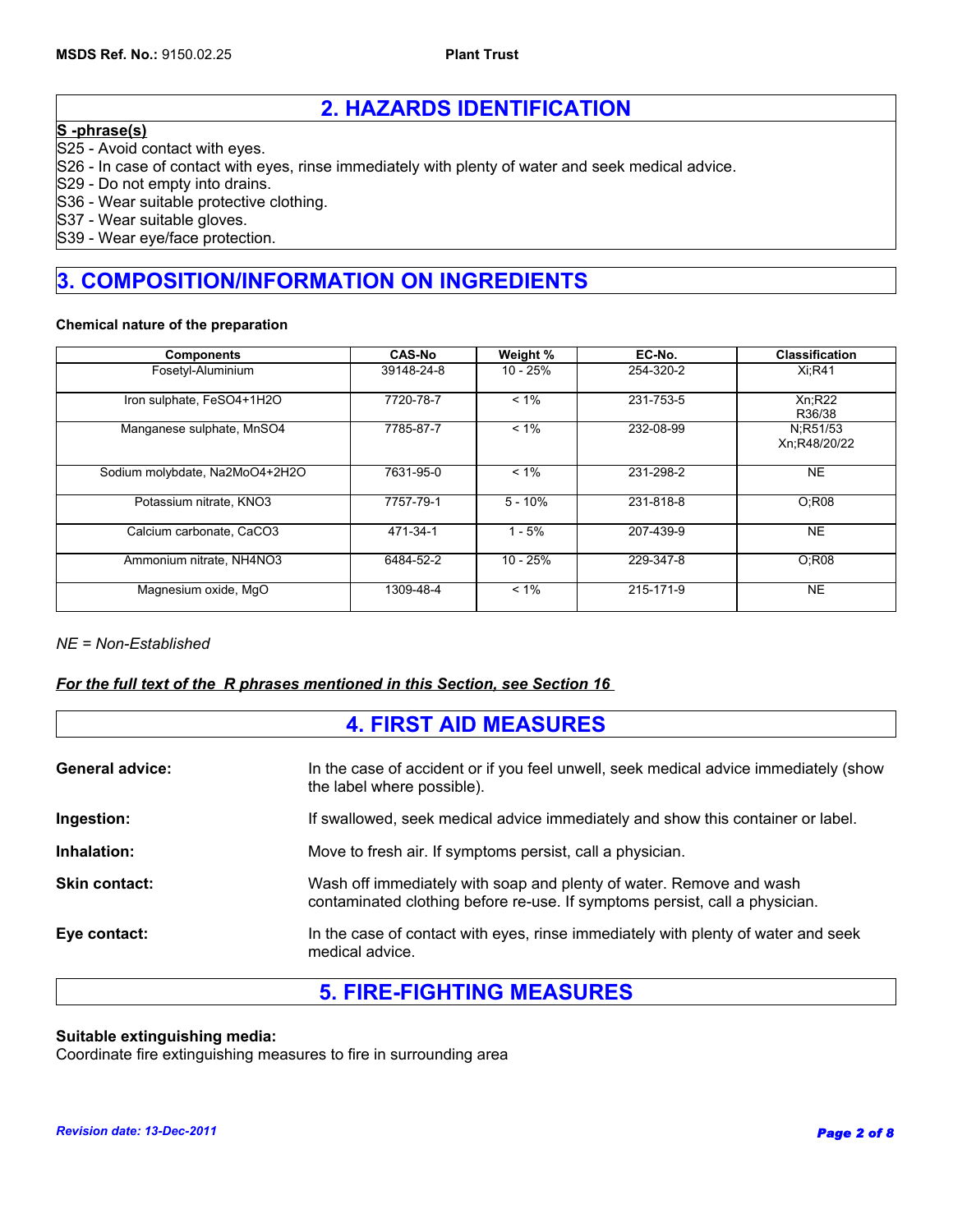## **2. HAZARDS IDENTIFICATION**

## **S -phrase(s)**

S25 - Avoid contact with eyes.

S26 - In case of contact with eyes, rinse immediately with plenty of water and seek medical advice.

S29 - Do not empty into drains.

S36 - Wear suitable protective clothing.

S37 - Wear suitable gloves.

S39 - Wear eye/face protection.

## **3. COMPOSITION/INFORMATION ON INGREDIENTS**

### **Chemical nature of the preparation**

| <b>Components</b>              | <b>CAS-No</b> | Weight %   | EC-No.    | <b>Classification</b>    |
|--------------------------------|---------------|------------|-----------|--------------------------|
| Fosetyl-Aluminium              | 39148-24-8    | $10 - 25%$ | 254-320-2 | Xi:R41                   |
| Iron sulphate, FeSO4+1H2O      | 7720-78-7     | $< 1\%$    | 231-753-5 | Xn;R22<br>R36/38         |
| Manganese sulphate, MnSO4      | 7785-87-7     | $< 1\%$    | 232-08-99 | N:R51/53<br>Xn:R48/20/22 |
| Sodium molybdate, Na2MoO4+2H2O | 7631-95-0     | $< 1\%$    | 231-298-2 | <b>NE</b>                |
| Potassium nitrate, KNO3        | 7757-79-1     | $5 - 10%$  | 231-818-8 | O:R08                    |
| Calcium carbonate. CaCO3       | 471-34-1      | $1 - 5%$   | 207-439-9 | <b>NE</b>                |
| Ammonium nitrate, NH4NO3       | 6484-52-2     | $10 - 25%$ | 229-347-8 | O:R08                    |
| Magnesium oxide, MgO           | 1309-48-4     | $< 1\%$    | 215-171-9 | <b>NE</b>                |

## *NE = Non-Established*

## *For the full text of the R phrases mentioned in this Section, see Section 16*

| <b>4. FIRST AID MEASURES</b> |                                                                                                                                                    |
|------------------------------|----------------------------------------------------------------------------------------------------------------------------------------------------|
| <b>General advice:</b>       | In the case of accident or if you feel unwell, seek medical advice immediately (show<br>the label where possible).                                 |
| Ingestion:                   | If swallowed, seek medical advice immediately and show this container or label.                                                                    |
| Inhalation:                  | Move to fresh air. If symptoms persist, call a physician.                                                                                          |
| <b>Skin contact:</b>         | Wash off immediately with soap and plenty of water. Remove and wash<br>contaminated clothing before re-use. If symptoms persist, call a physician. |
| Eye contact:                 | In the case of contact with eyes, rinse immediately with plenty of water and seek<br>medical advice.                                               |

## **5. FIRE-FIGHTING MEASURES**

## **Suitable extinguishing media:**

Coordinate fire extinguishing measures to fire in surrounding area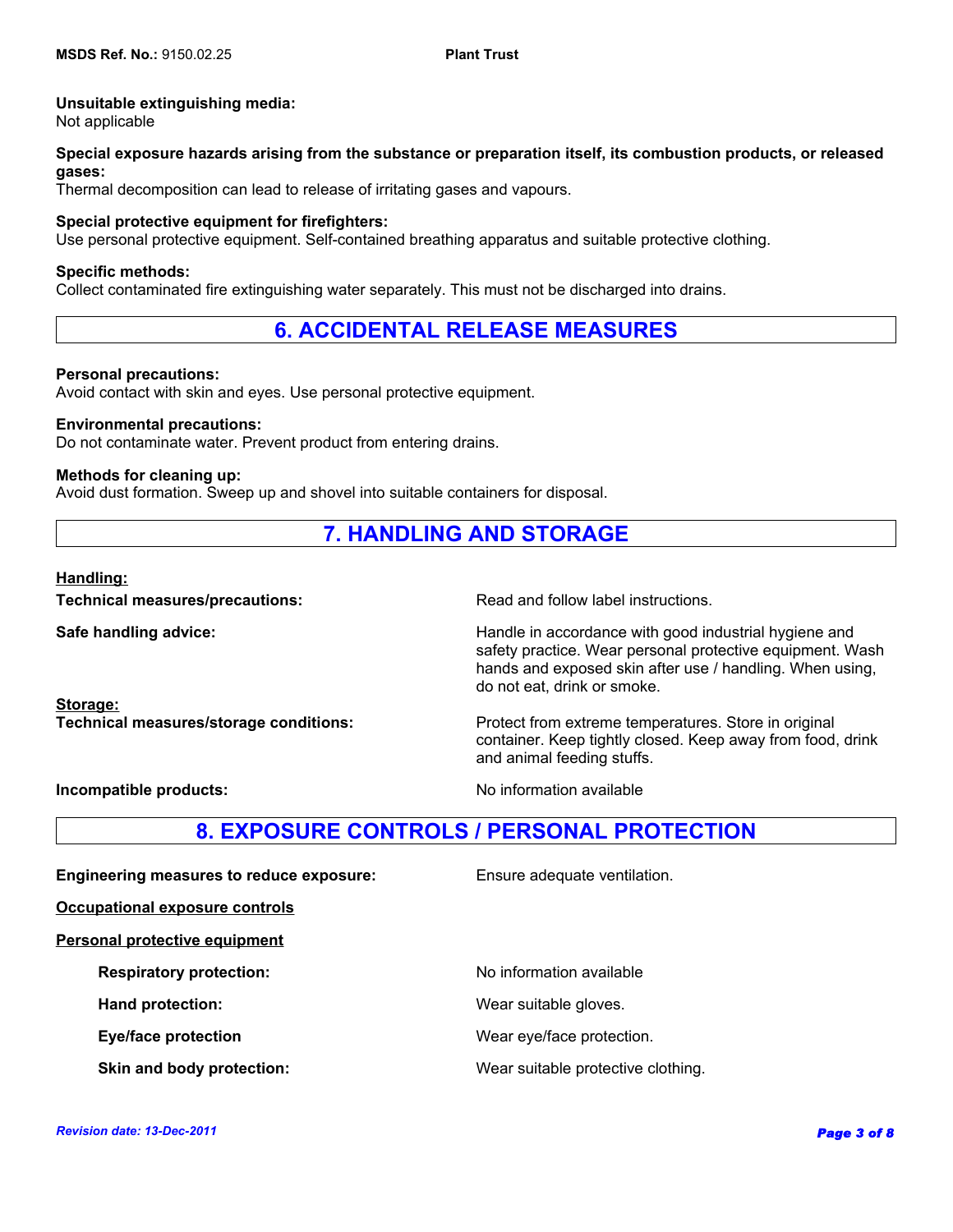## **Unsuitable extinguishing media:**

Not applicable

## **Special exposure hazards arising from the substance or preparation itself, its combustion products, or released gases:**

Thermal decomposition can lead to release of irritating gases and vapours.

### **Special protective equipment for firefighters:**

Use personal protective equipment. Self-contained breathing apparatus and suitable protective clothing.

### **Specific methods:**

Collect contaminated fire extinguishing water separately. This must not be discharged into drains.

## **6. ACCIDENTAL RELEASE MEASURES**

### **Personal precautions:**

Avoid contact with skin and eyes. Use personal protective equipment.

### **Environmental precautions:**

Do not contaminate water. Prevent product from entering drains.

### **Methods for cleaning up:**

Avoid dust formation. Sweep up and shovel into suitable containers for disposal.

## **7. HANDLING AND STORAGE**

### **Handling:**

**Storage:**

**Technical measures/precautions:** Read and follow label instructions.

**Safe handling advice: Handle in accordance with good industrial hygiene and Handle in accordance with good industrial hygiene and** safety practice. Wear personal protective equipment. Wash hands and exposed skin after use / handling. When using, do not eat, drink or smoke.

**Technical measures/storage conditions:** Protect from extreme temperatures. Store in original container. Keep tightly closed. Keep away from food, drink and animal feeding stuffs.

**Incompatible products:** No information available

## **8. EXPOSURE CONTROLS / PERSONAL PROTECTION**

**Engineering measures to reduce exposure:** Ensure adequate ventilation. **Occupational exposure controls Personal protective equipment Respiratory protection:** No information available **Hand protection:** Mear suitable gloves. **Eye/face protection Exercise 2 Wear eye/face protection. Skin and body protection:** Wear suitable protective clothing.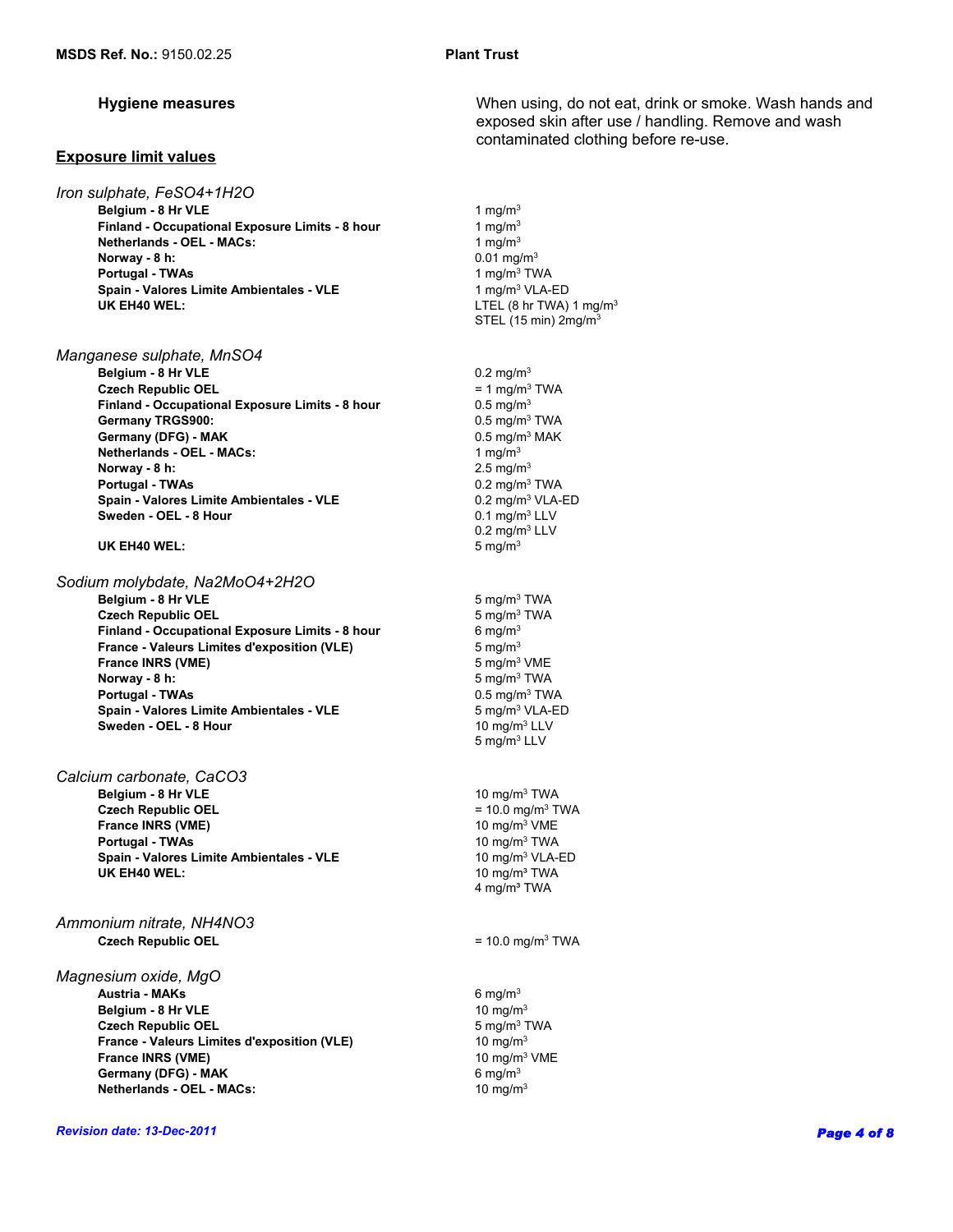### **Exposure limit values**

**Finland - Occupational Exposure Limits - 8 hour** UK EH40 WEL: **LACK CONTROLLER IN THE UK EH40 WEL:** LTEL (8 hr TWA) 1 mg/m<sup>3</sup> **Netherlands - OEL - MACs:** 1 mg/m<sup>3</sup> **Norway - 8 h: Belgium - 8 Hr VLE** 1 mg/m<sup>3</sup>  **Portugal - TWAs**  *Iron sulphate, FeSO4+1H2O* **Spain - Valores Limite Ambientales - VLE** 1 mg/m<sup>3</sup> VLA-ED

*Manganese sulphate, MnSO4*  **Belgium - 8 Hr VLE Czech Republic OEL**  $= 1$  mg/m<sup>3</sup> TWA **Finland - Occupational Exposure Limits - 8 hour** 0.5 mg/m<sup>3</sup>  **Germany TRGS900:** Germany (DFG) - MAK **COMPANY COMPANY** 0.5 mg/m<sup>3</sup> MAK **Netherlands - OEL - MACs:** 1 mg/m3  **Norway - 8 h: Portugal - TWAs** 0.2 mg/m3 TWA **Spain - Valores Limite Ambientales - VLE** 0.2 mg/m<sup>3</sup> VLA-ED **Sweden - OEL - 8 Hour**  0.1 mg/m<sup>3</sup> LLV

### **UK EH40 WEL:**

*Sodium molybdate, Na2MoO4+2H2O*

**Belgium - 8 Hr VLE** 5 mg/m<sup>3</sup> TWA **Czech Republic OEL** 5 mg/m<sup>3</sup> TWA<br> **Finland - Occupational Exposure Limits - 8 hour** 6 mg/m<sup>3</sup> **Finland - Occupational Exposure Limits - 8 hour France - Valeurs Limites d'exposition (VLE)** 5 mg/m<sup>3</sup>  **France INRS (VME)** 5 mg/m3 VME **Norway - 8 h: Portugal - TWAs** 0.5 mg/m3 TWA **Spain - Valores Limite Ambientales - VLE** 5 mg/m<sup>3</sup> VLA-ED **Sweden - OEL - 8 Hour 10 mg/m<sup>3</sup> LLV** 

*Calcium carbonate, CaCO3*  **Belgium - 8 Hr VLE** 10 mg/m3 TWA **Czech Republic OEL**  $= 10.0 \text{ ma/m}^3$  **TWA France INRS (VME)** 10 mg/m<sup>3</sup> VME  **Portugal - TWAs** 10 mg/m3 TWA  **Spain - Valores Limite Ambientales - VLE** 10 mg/m3 VLA-ED

*Ammonium nitrate, NH4NO3* **Czech Republic OEL** = 10.0 mg/m<sup>3</sup> TWA

*Magnesium oxide, MgO*  **Austria - MAKs** 6 mg/m3 **Belgium - 8 Hr VLE** 10 mg/m<sup>3</sup>  **Czech Republic OEL** 5 mg/m3 TWA **France - Valeurs Limites d'exposition (VLE)** 10 mg/m<sup>3</sup> **France INRS (VME)** 10 mg/m<sup>3</sup> VME **Germany (DFG) - MAK** 6 mg/m<sup>3</sup> **Netherlands - OEL - MACs:** 10 mg/m<sup>3</sup>

**Hygiene measures** Microsoft Christian Microsoft Christian Microsoft When using, do not eat, drink or smoke. Wash hands and exposed skin after use / handling. Remove and wash contaminated clothing before re-use.

> 5 mg/ $m<sup>3</sup>$ STEL (15 min) 2mg/m3 1 mg/ $m<sup>3</sup>$  $0.2$  mg/m<sup>3</sup> 5 mg/m3 LLV 0.5 mg/m3 TWA 0.01 mg/m3 **10 mg/m<sup>3</sup> TWA** 4 mg/m<sup>3</sup> TWA  $2.5$  mg/m<sup>3</sup> 1 mg/m3 TWA 0.2 mg/m3 LLV

*Revision date: 13-Dec-2011*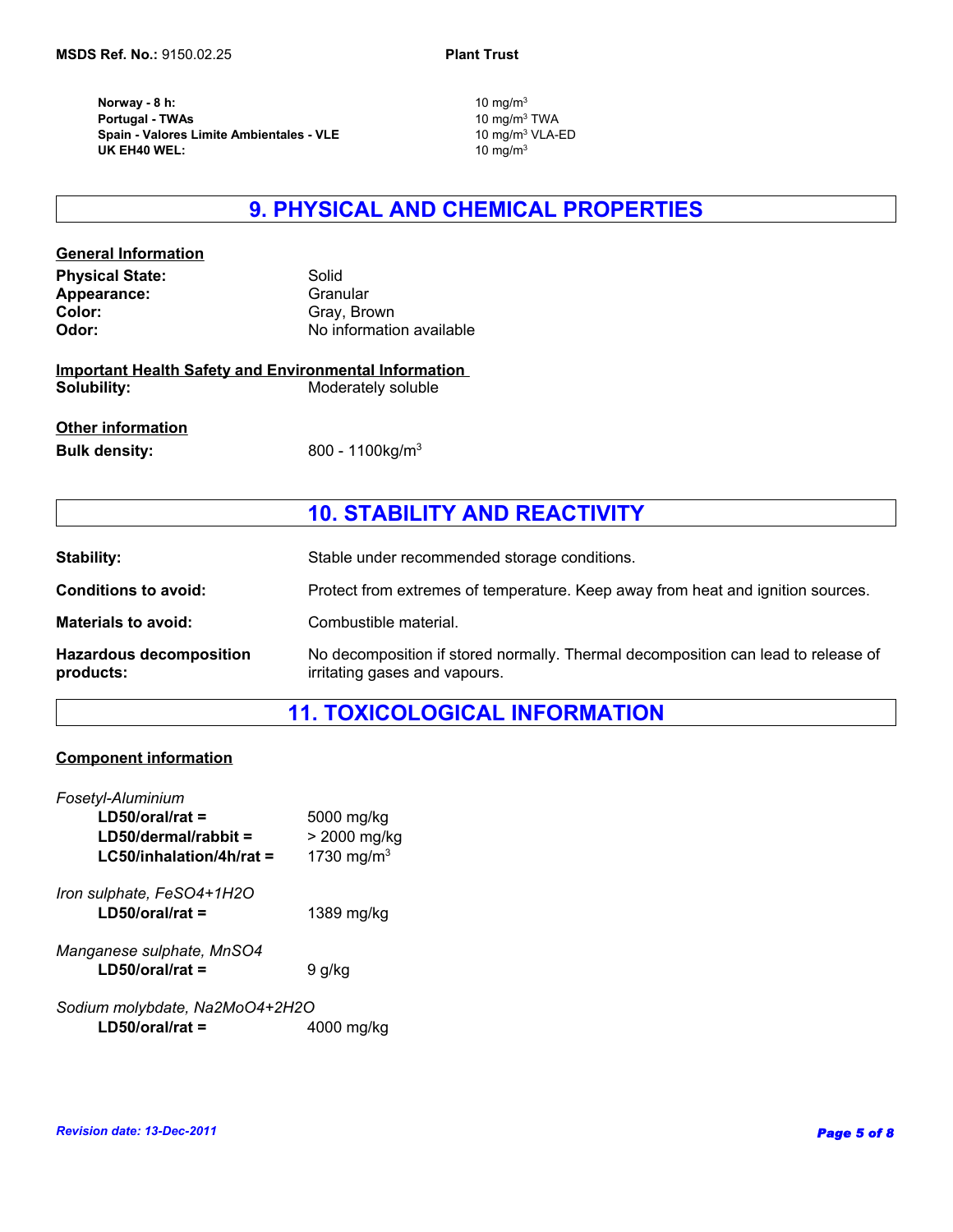**Norway - 8 h: UK EH40 WEL:** 10 mg/m<sup>3</sup> **Portugal - TWAs Spain - Valores Limite Ambientales - VLE**

10 mg/m3 VLA-ED 10 mg/m $3$ <br>10 mg/m $3$  TWA

## **9. PHYSICAL AND CHEMICAL PROPERTIES**

| <b>General Information</b> |                          |
|----------------------------|--------------------------|
| <b>Physical State:</b>     | Solid                    |
| Appearance:                | Granular                 |
| Color:                     | Gray, Brown              |
| Odor:                      | No information available |
|                            |                          |

**Important Health Safety and Environmental Information Moderately soluble** 

**Other information Bulk density:** 800 - 1100kg/m<sup>3</sup>

## **10. STABILITY AND REACTIVITY**

| Stability:                                  | Stable under recommended storage conditions.                                                                       |
|---------------------------------------------|--------------------------------------------------------------------------------------------------------------------|
| <b>Conditions to avoid:</b>                 | Protect from extremes of temperature. Keep away from heat and ignition sources.                                    |
| <b>Materials to avoid:</b>                  | Combustible material.                                                                                              |
| <b>Hazardous decomposition</b><br>products: | No decomposition if stored normally. Thermal decomposition can lead to release of<br>irritating gases and vapours. |

## **11. TOXICOLOGICAL INFORMATION**

## **Component information**

| Fosetyl-Aluminium<br>$LD50/oral/rat =$<br>$LD50/dermal/rabbit =$<br>$LG50$ /inhalation/4h/rat = | 5000 mg/kg<br>> 2000 mg/kg<br>1730 mg/m <sup>3</sup> |
|-------------------------------------------------------------------------------------------------|------------------------------------------------------|
| Iron sulphate, FeSO4+1H2O<br>$LD50/oral/rat =$                                                  | 1389 mg/kg                                           |
| Manganese sulphate, MnSO4<br>$LD50/oral/rat =$                                                  | 9 g/kg                                               |
| Sodium molybdate, Na2MoO4+2H2O<br>$LD50/oral/rat =$                                             | 4000 mg/ka                                           |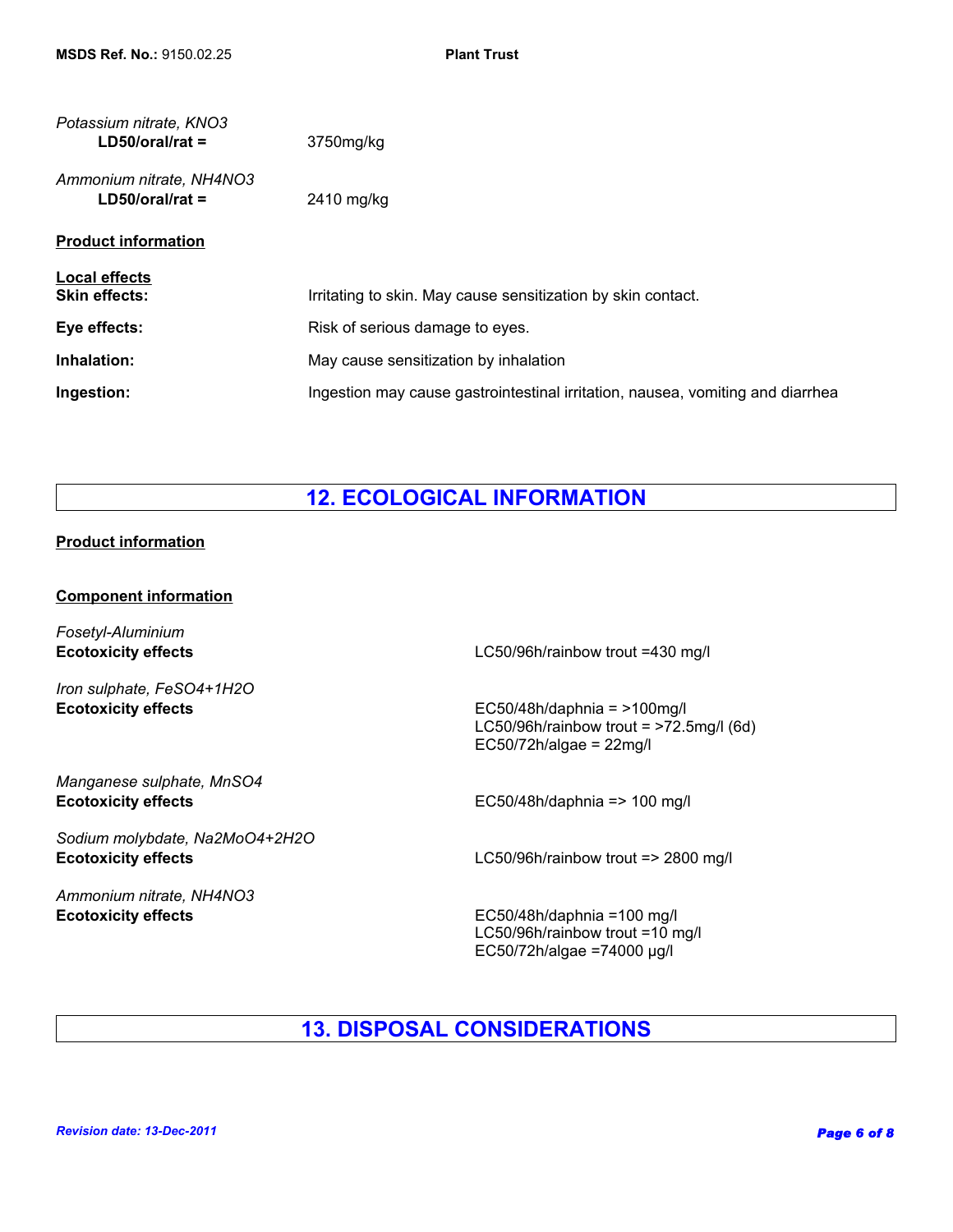| Potassium nitrate, KNO3<br>$LD50/oral/rat =$  | 3750mg/kg                                                                      |
|-----------------------------------------------|--------------------------------------------------------------------------------|
| Ammonium nitrate, NH4NO3<br>$LD50/oral/rat =$ | 2410 mg/kg                                                                     |
| <b>Product information</b>                    |                                                                                |
| <b>Local effects</b><br><b>Skin effects:</b>  | Irritating to skin. May cause sensitization by skin contact.                   |
| Eye effects:                                  | Risk of serious damage to eyes.                                                |
| Inhalation:                                   | May cause sensitization by inhalation                                          |
| Ingestion:                                    | Ingestion may cause gastrointestinal irritation, nausea, vomiting and diarrhea |

## **12. ECOLOGICAL INFORMATION**

## **Product information**

### **Component information**

*Fosetyl-Aluminium*

*Iron sulphate, FeSO4+1H2O*

**Ecotoxicity effects** LC50/96h/rainbow trout =430 mg/l

**Ecotoxicity effects** EC50/48h/daphnia = >100mg/l LC50/96h/rainbow trout = >72.5mg/l (6d) EC50/72h/algae = 22mg/l

*Manganese sulphate, MnSO4* **Ecotoxicity effects**

**Ecotoxicity effects** LC50/96h/rainbow trout => 2800 mg/l *Sodium molybdate, Na2MoO4+2H2O*

*Ammonium nitrate, NH4NO3*

EC50/48h/daphnia => 100 mg/l

**Ecotoxicity effects** EC50/48h/daphnia =100 mg/l LC50/96h/rainbow trout =10 mg/l EC50/72h/algae =74000 µg/l

## **13. DISPOSAL CONSIDERATIONS**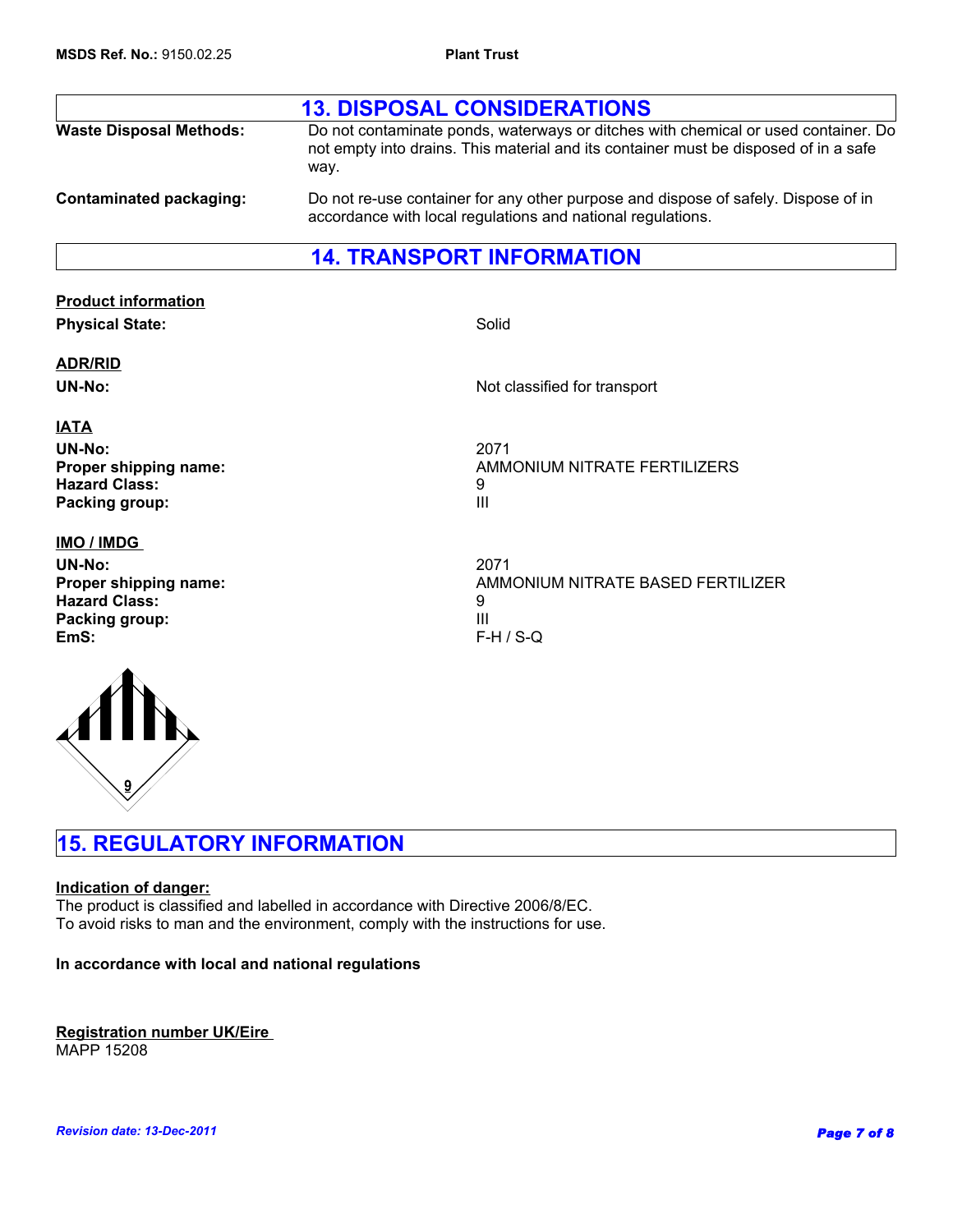|                                | <b>13. DISPOSAL CONSIDERATIONS</b>                                                                                                                                                 |
|--------------------------------|------------------------------------------------------------------------------------------------------------------------------------------------------------------------------------|
| <b>Waste Disposal Methods:</b> | Do not contaminate ponds, waterways or ditches with chemical or used container. Do<br>not empty into drains. This material and its container must be disposed of in a safe<br>way. |
| Contaminated packaging:        | Do not re-use container for any other purpose and dispose of safely. Dispose of in<br>accordance with local regulations and national regulations.                                  |

## **14. TRANSPORT INFORMATION**

| <b>Product information</b> |                                   |
|----------------------------|-----------------------------------|
| <b>Physical State:</b>     | Solid                             |
| <b>ADR/RID</b>             |                                   |
| <b>UN-No:</b>              | Not classified for transport      |
| <b>IATA</b>                |                                   |
| <b>UN-No:</b>              | 2071                              |
| Proper shipping name:      | AMMONIUM NITRATE FERTILIZERS      |
| <b>Hazard Class:</b>       | 9                                 |
| Packing group:             | Ш                                 |
| IMO / IMDG                 |                                   |
| UN-No:                     | 2071                              |
| Proper shipping name:      | AMMONIUM NITRATE BASED FERTILIZER |
| <b>Hazard Class:</b>       | 9                                 |
| Packing group:             | Ш                                 |
| EmS:                       | $F-H/S-Q$                         |
|                            |                                   |



## **15. REGULATORY INFORMATION**

## **Indication of danger:**

The product is classified and labelled in accordance with Directive 2006/8/EC. To avoid risks to man and the environment, comply with the instructions for use.

## **In accordance with local and national regulations**

### **Registration number UK/Eire**  MAPP 15208